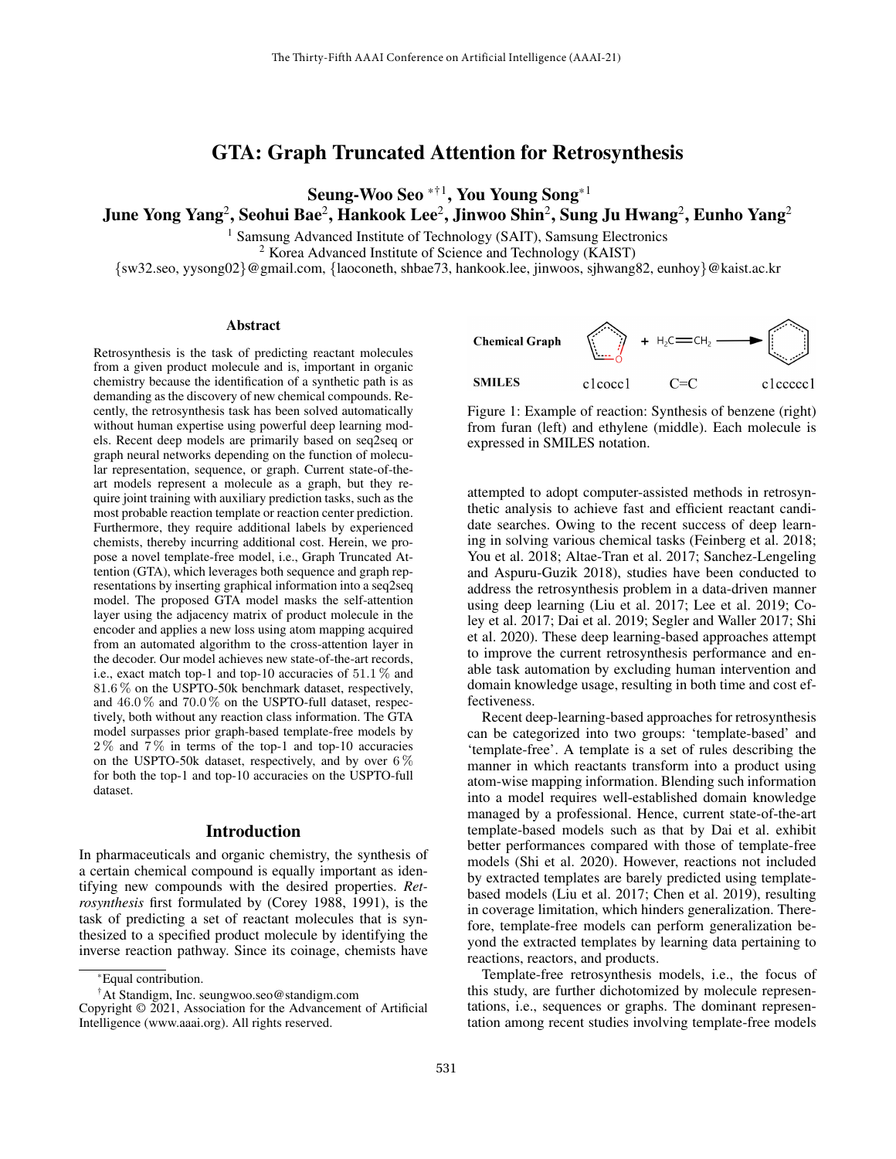# GTA: Graph Truncated Attention for Retrosynthesis

Seung-Woo Seo  $^{\ast +1}$ , You Young Song $^{\ast +1}$ 

June Yong Yang<sup>2</sup>, Seohui Bae<sup>2</sup>, Hankook Lee<sup>2</sup>, Jinwoo Shin<sup>2</sup>, Sung Ju Hwang<sup>2</sup>, Eunho Yang<sup>2</sup>

<sup>1</sup> Samsung Advanced Institute of Technology (SAIT), Samsung Electronics

<sup>2</sup> Korea Advanced Institute of Science and Technology (KAIST)

{sw32.seo, yysong02}@gmail.com, {laoconeth, shbae73, hankook.lee, jinwoos, sjhwang82, eunhoy}@kaist.ac.kr

#### Abstract

Retrosynthesis is the task of predicting reactant molecules from a given product molecule and is, important in organic chemistry because the identification of a synthetic path is as demanding as the discovery of new chemical compounds. Recently, the retrosynthesis task has been solved automatically without human expertise using powerful deep learning models. Recent deep models are primarily based on seq2seq or graph neural networks depending on the function of molecular representation, sequence, or graph. Current state-of-theart models represent a molecule as a graph, but they require joint training with auxiliary prediction tasks, such as the most probable reaction template or reaction center prediction. Furthermore, they require additional labels by experienced chemists, thereby incurring additional cost. Herein, we propose a novel template-free model, i.e., Graph Truncated Attention (GTA), which leverages both sequence and graph representations by inserting graphical information into a seq2seq model. The proposed GTA model masks the self-attention layer using the adjacency matrix of product molecule in the encoder and applies a new loss using atom mapping acquired from an automated algorithm to the cross-attention layer in the decoder. Our model achieves new state-of-the-art records, i.e., exact match top-1 and top-10 accuracies of 51.1 % and 81.6 % on the USPTO-50k benchmark dataset, respectively, and 46.0 % and 70.0 % on the USPTO-full dataset, respectively, both without any reaction class information. The GTA model surpasses prior graph-based template-free models by  $2\%$  and  $7\%$  in terms of the top-1 and top-10 accuracies on the USPTO-50k dataset, respectively, and by over  $6\%$ for both the top-1 and top-10 accuracies on the USPTO-full dataset.

#### Introduction

In pharmaceuticals and organic chemistry, the synthesis of a certain chemical compound is equally important as identifying new compounds with the desired properties. *Retrosynthesis* first formulated by (Corey 1988, 1991), is the task of predicting a set of reactant molecules that is synthesized to a specified product molecule by identifying the inverse reaction pathway. Since its coinage, chemists have

†At Standigm, Inc. seungwoo.seo@standigm.com



Figure 1: Example of reaction: Synthesis of benzene (right) from furan (left) and ethylene (middle). Each molecule is expressed in SMILES notation.

attempted to adopt computer-assisted methods in retrosynthetic analysis to achieve fast and efficient reactant candidate searches. Owing to the recent success of deep learning in solving various chemical tasks (Feinberg et al. 2018; You et al. 2018; Altae-Tran et al. 2017; Sanchez-Lengeling and Aspuru-Guzik 2018), studies have been conducted to address the retrosynthesis problem in a data-driven manner using deep learning (Liu et al. 2017; Lee et al. 2019; Coley et al. 2017; Dai et al. 2019; Segler and Waller 2017; Shi et al. 2020). These deep learning-based approaches attempt to improve the current retrosynthesis performance and enable task automation by excluding human intervention and domain knowledge usage, resulting in both time and cost effectiveness.

Recent deep-learning-based approaches for retrosynthesis can be categorized into two groups: 'template-based' and 'template-free'. A template is a set of rules describing the manner in which reactants transform into a product using atom-wise mapping information. Blending such information into a model requires well-established domain knowledge managed by a professional. Hence, current state-of-the-art template-based models such as that by Dai et al. exhibit better performances compared with those of template-free models (Shi et al. 2020). However, reactions not included by extracted templates are barely predicted using templatebased models (Liu et al. 2017; Chen et al. 2019), resulting in coverage limitation, which hinders generalization. Therefore, template-free models can perform generalization beyond the extracted templates by learning data pertaining to reactions, reactors, and products.

Template-free retrosynthesis models, i.e., the focus of this study, are further dichotomized by molecule representations, i.e., sequences or graphs. The dominant representation among recent studies involving template-free models

<sup>\*</sup>Equal contribution.

Copyright © 2021, Association for the Advancement of Artificial Intelligence (www.aaai.org). All rights reserved.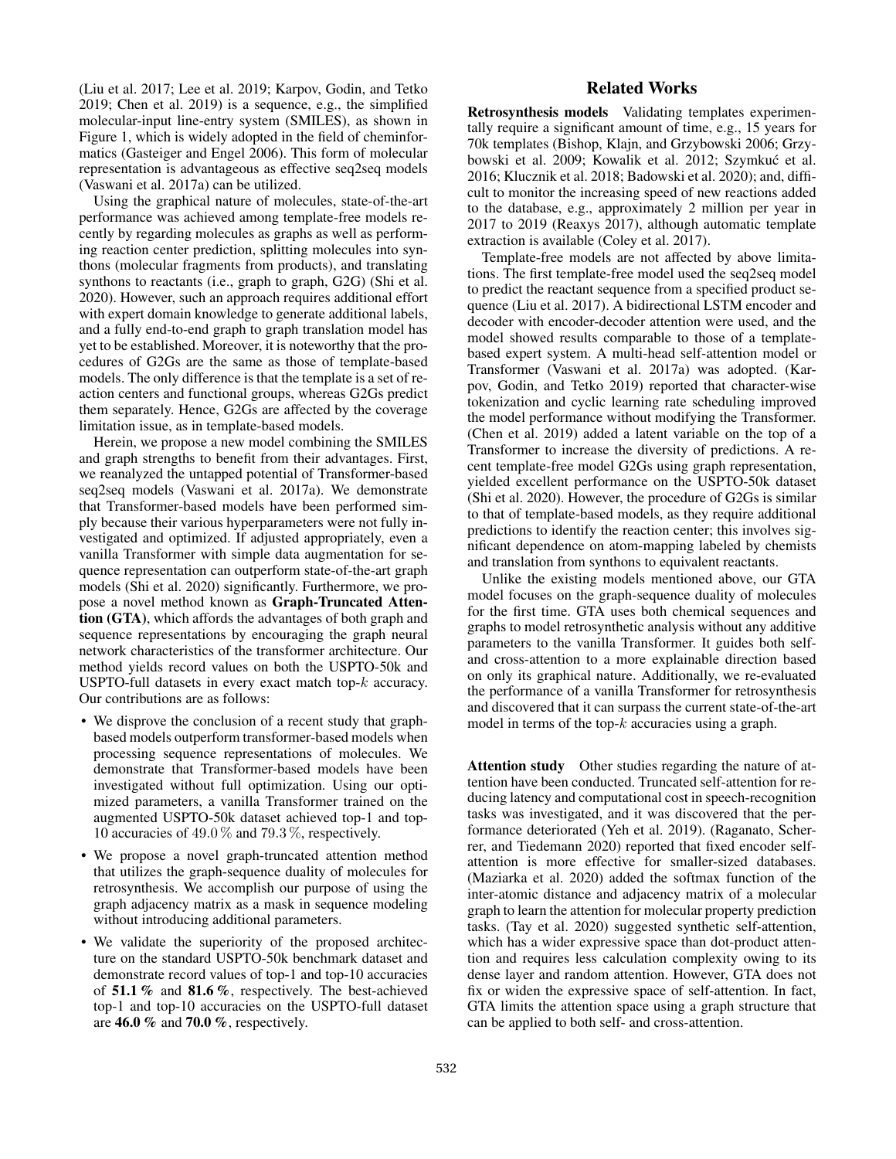(Liu et al. 2017; Lee et al. 2019; Karpov, Godin, and Tetko 2019; Chen et al. 2019) is a sequence, e.g., the simplified molecular-input line-entry system (SMILES), as shown in Figure 1, which is widely adopted in the field of cheminformatics (Gasteiger and Engel 2006). This form of molecular representation is advantageous as effective seq2seq models (Vaswani et al. 2017a) can be utilized.

Using the graphical nature of molecules, state-of-the-art performance was achieved among template-free models recently by regarding molecules as graphs as well as performing reaction center prediction, splitting molecules into synthons (molecular fragments from products), and translating synthons to reactants (i.e., graph to graph, G2G) (Shi et al. 2020). However, such an approach requires additional effort with expert domain knowledge to generate additional labels, and a fully end-to-end graph to graph translation model has yet to be established. Moreover, it is noteworthy that the procedures of G2Gs are the same as those of template-based models. The only difference is that the template is a set of reaction centers and functional groups, whereas G2Gs predict them separately. Hence, G2Gs are affected by the coverage limitation issue, as in template-based models.

Herein, we propose a new model combining the SMILES and graph strengths to benefit from their advantages. First, we reanalyzed the untapped potential of Transformer-based seq2seq models (Vaswani et al. 2017a). We demonstrate that Transformer-based models have been performed simply because their various hyperparameters were not fully investigated and optimized. If adjusted appropriately, even a vanilla Transformer with simple data augmentation for sequence representation can outperform state-of-the-art graph models (Shi et al. 2020) significantly. Furthermore, we propose a novel method known as Graph-Truncated Attention (GTA), which affords the advantages of both graph and sequence representations by encouraging the graph neural network characteristics of the transformer architecture. Our method yields record values on both the USPTO-50k and USPTO-full datasets in every exact match top-k accuracy. Our contributions are as follows:

- We disprove the conclusion of a recent study that graphbased models outperform transformer-based models when processing sequence representations of molecules. We demonstrate that Transformer-based models have been investigated without full optimization. Using our optimized parameters, a vanilla Transformer trained on the augmented USPTO-50k dataset achieved top-1 and top-10 accuracies of 49.0 % and 79.3 %, respectively.
- We propose a novel graph-truncated attention method that utilizes the graph-sequence duality of molecules for retrosynthesis. We accomplish our purpose of using the graph adjacency matrix as a mask in sequence modeling without introducing additional parameters.
- We validate the superiority of the proposed architecture on the standard USPTO-50k benchmark dataset and demonstrate record values of top-1 and top-10 accuracies of 51.1 % and 81.6 %, respectively. The best-achieved top-1 and top-10 accuracies on the USPTO-full dataset are  $46.0\%$  and  $70.0\%$ , respectively.

## Related Works

Retrosynthesis models Validating templates experimentally require a significant amount of time, e.g., 15 years for 70k templates (Bishop, Klajn, and Grzybowski 2006; Grzybowski et al. 2009; Kowalik et al. 2012; Szymkuć et al. 2016; Klucznik et al. 2018; Badowski et al. 2020); and, difficult to monitor the increasing speed of new reactions added to the database, e.g., approximately 2 million per year in 2017 to 2019 (Reaxys 2017), although automatic template extraction is available (Coley et al. 2017).

Template-free models are not affected by above limitations. The first template-free model used the seq2seq model to predict the reactant sequence from a specified product sequence (Liu et al. 2017). A bidirectional LSTM encoder and decoder with encoder-decoder attention were used, and the model showed results comparable to those of a templatebased expert system. A multi-head self-attention model or Transformer (Vaswani et al. 2017a) was adopted. (Karpov, Godin, and Tetko 2019) reported that character-wise tokenization and cyclic learning rate scheduling improved the model performance without modifying the Transformer. (Chen et al. 2019) added a latent variable on the top of a Transformer to increase the diversity of predictions. A recent template-free model G2Gs using graph representation, yielded excellent performance on the USPTO-50k dataset (Shi et al. 2020). However, the procedure of G2Gs is similar to that of template-based models, as they require additional predictions to identify the reaction center; this involves significant dependence on atom-mapping labeled by chemists and translation from synthons to equivalent reactants.

Unlike the existing models mentioned above, our GTA model focuses on the graph-sequence duality of molecules for the first time. GTA uses both chemical sequences and graphs to model retrosynthetic analysis without any additive parameters to the vanilla Transformer. It guides both selfand cross-attention to a more explainable direction based on only its graphical nature. Additionally, we re-evaluated the performance of a vanilla Transformer for retrosynthesis and discovered that it can surpass the current state-of-the-art model in terms of the top- $k$  accuracies using a graph.

Attention study Other studies regarding the nature of attention have been conducted. Truncated self-attention for reducing latency and computational cost in speech-recognition tasks was investigated, and it was discovered that the performance deteriorated (Yeh et al. 2019). (Raganato, Scherrer, and Tiedemann 2020) reported that fixed encoder selfattention is more effective for smaller-sized databases. (Maziarka et al. 2020) added the softmax function of the inter-atomic distance and adjacency matrix of a molecular graph to learn the attention for molecular property prediction tasks. (Tay et al. 2020) suggested synthetic self-attention, which has a wider expressive space than dot-product attention and requires less calculation complexity owing to its dense layer and random attention. However, GTA does not fix or widen the expressive space of self-attention. In fact, GTA limits the attention space using a graph structure that can be applied to both self- and cross-attention.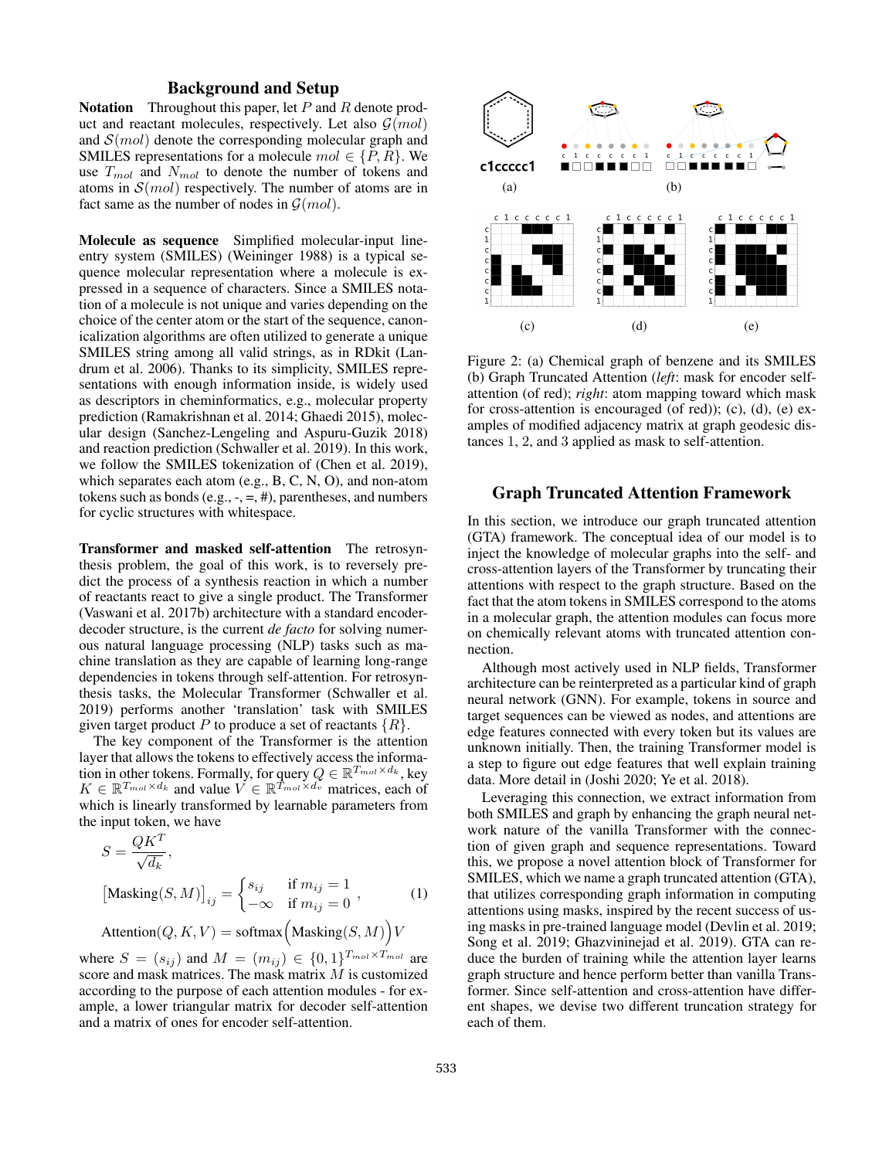## Background and Setup

**Notation** Throughout this paper, let  $P$  and  $R$  denote product and reactant molecules, respectively. Let also  $\mathcal{G}(mol)$ and  $\mathcal{S}(mol)$  denote the corresponding molecular graph and SMILES representations for a molecule  $mol \in \{P, R\}$ . We use  $T_{mol}$  and  $N_{mol}$  to denote the number of tokens and atoms in  $\mathcal{S}(mol)$  respectively. The number of atoms are in fact same as the number of nodes in  $G(mol)$ .

Molecule as sequence Simplified molecular-input lineentry system (SMILES) (Weininger 1988) is a typical sequence molecular representation where a molecule is expressed in a sequence of characters. Since a SMILES notation of a molecule is not unique and varies depending on the choice of the center atom or the start of the sequence, canonicalization algorithms are often utilized to generate a unique SMILES string among all valid strings, as in RDkit (Landrum et al. 2006). Thanks to its simplicity, SMILES representations with enough information inside, is widely used as descriptors in cheminformatics, e.g., molecular property prediction (Ramakrishnan et al. 2014; Ghaedi 2015), molecular design (Sanchez-Lengeling and Aspuru-Guzik 2018) and reaction prediction (Schwaller et al. 2019). In this work, we follow the SMILES tokenization of (Chen et al. 2019), which separates each atom (e.g., B, C, N, O), and non-atom tokens such as bonds (e.g.,  $-$ ,  $=$ ,  $#$ ), parentheses, and numbers for cyclic structures with whitespace.

Transformer and masked self-attention The retrosynthesis problem, the goal of this work, is to reversely predict the process of a synthesis reaction in which a number of reactants react to give a single product. The Transformer (Vaswani et al. 2017b) architecture with a standard encoderdecoder structure, is the current *de facto* for solving numerous natural language processing (NLP) tasks such as machine translation as they are capable of learning long-range dependencies in tokens through self-attention. For retrosynthesis tasks, the Molecular Transformer (Schwaller et al. 2019) performs another 'translation' task with SMILES given target product P to produce a set of reactants  $\{R\}$ .

The key component of the Transformer is the attention layer that allows the tokens to effectively access the information in other tokens. Formally, for query  $Q \in \mathbb{R}^{T_{mol} \times d_k}$ , key  $K \in \mathbb{R}^{T_{mol} \times d_k}$  and value  $V \in \mathbb{R}^{T_{mol} \times d_v}$  matrices, each of which is linearly transformed by learnable parameters from the input token, we have

$$
S = \frac{QK^T}{\sqrt{d_k}},
$$
  
\n[Masking(S, M)]<sub>ij</sub> = 
$$
\begin{cases} s_{ij} & \text{if } m_{ij} = 1 \\ -\infty & \text{if } m_{ij} = 0 \end{cases}
$$
, (1)

Attention $(Q, K, V) = \text{softmax}\left(\text{Masking}(S, M)\right) V$ 

where  $S = (s_{ij})$  and  $M = (m_{ij}) \in \{0,1\}^{T_{mol} \times T_{mol}}$  are score and mask matrices. The mask matrix M is customized according to the purpose of each attention modules - for example, a lower triangular matrix for decoder self-attention and a matrix of ones for encoder self-attention.



Figure 2: (a) Chemical graph of benzene and its SMILES (b) Graph Truncated Attention (*left*: mask for encoder selfattention (of red); *right*: atom mapping toward which mask for cross-attention is encouraged (of red)); (c), (d), (e) examples of modified adjacency matrix at graph geodesic distances 1, 2, and 3 applied as mask to self-attention.

## Graph Truncated Attention Framework

In this section, we introduce our graph truncated attention (GTA) framework. The conceptual idea of our model is to inject the knowledge of molecular graphs into the self- and cross-attention layers of the Transformer by truncating their attentions with respect to the graph structure. Based on the fact that the atom tokens in SMILES correspond to the atoms in a molecular graph, the attention modules can focus more on chemically relevant atoms with truncated attention connection.

Although most actively used in NLP fields, Transformer architecture can be reinterpreted as a particular kind of graph neural network (GNN). For example, tokens in source and target sequences can be viewed as nodes, and attentions are edge features connected with every token but its values are unknown initially. Then, the training Transformer model is a step to figure out edge features that well explain training data. More detail in (Joshi 2020; Ye et al. 2018).

Leveraging this connection, we extract information from both SMILES and graph by enhancing the graph neural network nature of the vanilla Transformer with the connection of given graph and sequence representations. Toward this, we propose a novel attention block of Transformer for SMILES, which we name a graph truncated attention (GTA), that utilizes corresponding graph information in computing attentions using masks, inspired by the recent success of using masks in pre-trained language model (Devlin et al. 2019; Song et al. 2019; Ghazvininejad et al. 2019). GTA can reduce the burden of training while the attention layer learns graph structure and hence perform better than vanilla Transformer. Since self-attention and cross-attention have different shapes, we devise two different truncation strategy for each of them.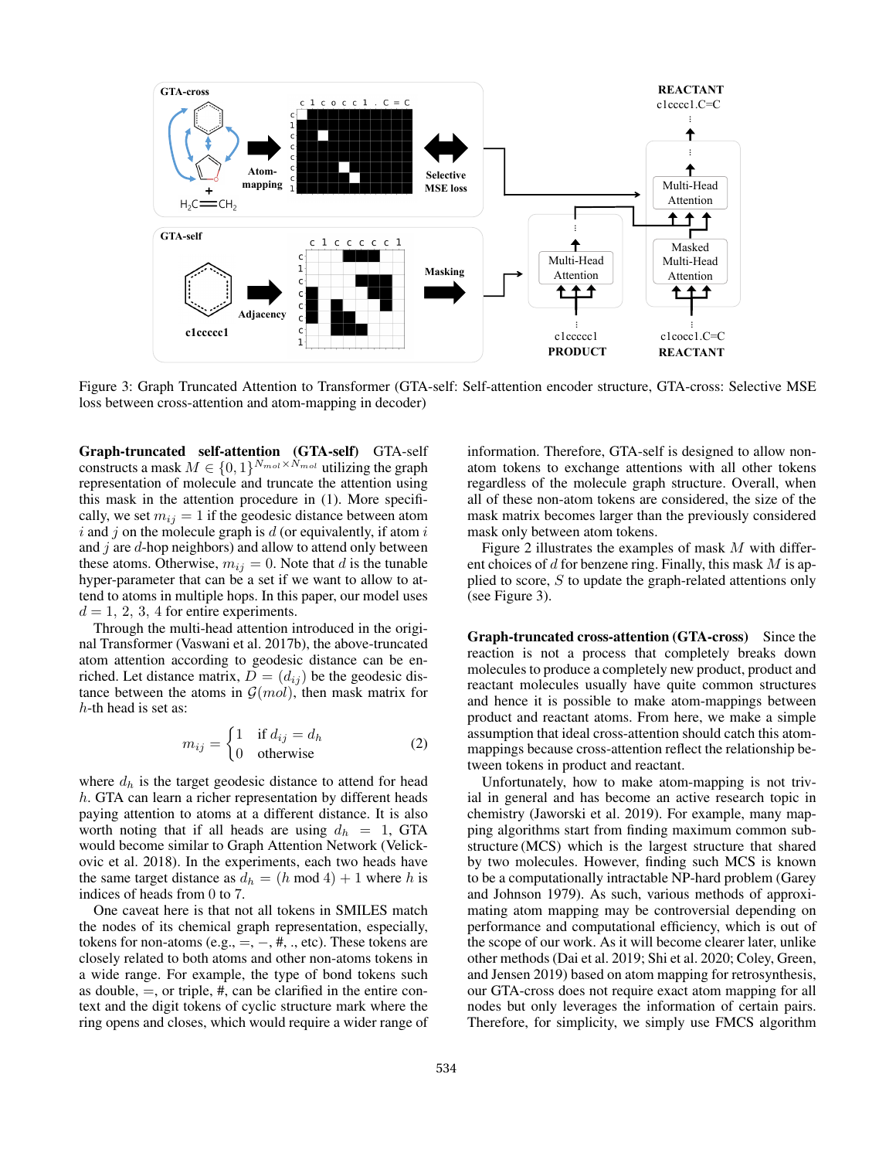

Figure 3: Graph Truncated Attention to Transformer (GTA-self: Self-attention encoder structure, GTA-cross: Selective MSE loss between cross-attention and atom-mapping in decoder)

Graph-truncated self-attention (GTA-self) GTA-self constructs a mask  $M \in \{0, 1\}^{N_{mol} \times N_{mol}}$  utilizing the graph representation of molecule and truncate the attention using this mask in the attention procedure in (1). More specifically, we set  $m_{ij} = 1$  if the geodesic distance between atom  $i$  and  $j$  on the molecule graph is  $d$  (or equivalently, if atom  $i$ and  $j$  are  $d$ -hop neighbors) and allow to attend only between these atoms. Otherwise,  $m_{ij} = 0$ . Note that d is the tunable hyper-parameter that can be a set if we want to allow to attend to atoms in multiple hops. In this paper, our model uses  $d = 1, 2, 3, 4$  for entire experiments.

Through the multi-head attention introduced in the original Transformer (Vaswani et al. 2017b), the above-truncated atom attention according to geodesic distance can be enriched. Let distance matrix,  $D = (d_{ij})$  be the geodesic distance between the atoms in  $\mathcal{G}(mol)$ , then mask matrix for  $h$ -th head is set as:

$$
m_{ij} = \begin{cases} 1 & \text{if } d_{ij} = d_h \\ 0 & \text{otherwise} \end{cases}
$$
 (2)

where  $d_h$  is the target geodesic distance to attend for head h. GTA can learn a richer representation by different heads paying attention to atoms at a different distance. It is also worth noting that if all heads are using  $d_h = 1$ , GTA would become similar to Graph Attention Network (Velickovic et al. 2018). In the experiments, each two heads have the same target distance as  $d_h = (h \mod 4) + 1$  where h is indices of heads from 0 to 7.

One caveat here is that not all tokens in SMILES match the nodes of its chemical graph representation, especially, tokens for non-atoms (e.g.,  $=, -, \#$ , ., etc). These tokens are closely related to both atoms and other non-atoms tokens in a wide range. For example, the type of bond tokens such as double,  $=$ , or triple,  $#$ , can be clarified in the entire context and the digit tokens of cyclic structure mark where the ring opens and closes, which would require a wider range of information. Therefore, GTA-self is designed to allow nonatom tokens to exchange attentions with all other tokens regardless of the molecule graph structure. Overall, when all of these non-atom tokens are considered, the size of the mask matrix becomes larger than the previously considered mask only between atom tokens.

Figure 2 illustrates the examples of mask M with different choices of  $d$  for benzene ring. Finally, this mask  $M$  is applied to score,  $S$  to update the graph-related attentions only (see Figure 3).

Graph-truncated cross-attention (GTA-cross) Since the reaction is not a process that completely breaks down molecules to produce a completely new product, product and reactant molecules usually have quite common structures and hence it is possible to make atom-mappings between product and reactant atoms. From here, we make a simple assumption that ideal cross-attention should catch this atommappings because cross-attention reflect the relationship between tokens in product and reactant.

Unfortunately, how to make atom-mapping is not trivial in general and has become an active research topic in chemistry (Jaworski et al. 2019). For example, many mapping algorithms start from finding maximum common substructure (MCS) which is the largest structure that shared by two molecules. However, finding such MCS is known to be a computationally intractable NP-hard problem (Garey and Johnson 1979). As such, various methods of approximating atom mapping may be controversial depending on performance and computational efficiency, which is out of the scope of our work. As it will become clearer later, unlike other methods (Dai et al. 2019; Shi et al. 2020; Coley, Green, and Jensen 2019) based on atom mapping for retrosynthesis, our GTA-cross does not require exact atom mapping for all nodes but only leverages the information of certain pairs. Therefore, for simplicity, we simply use FMCS algorithm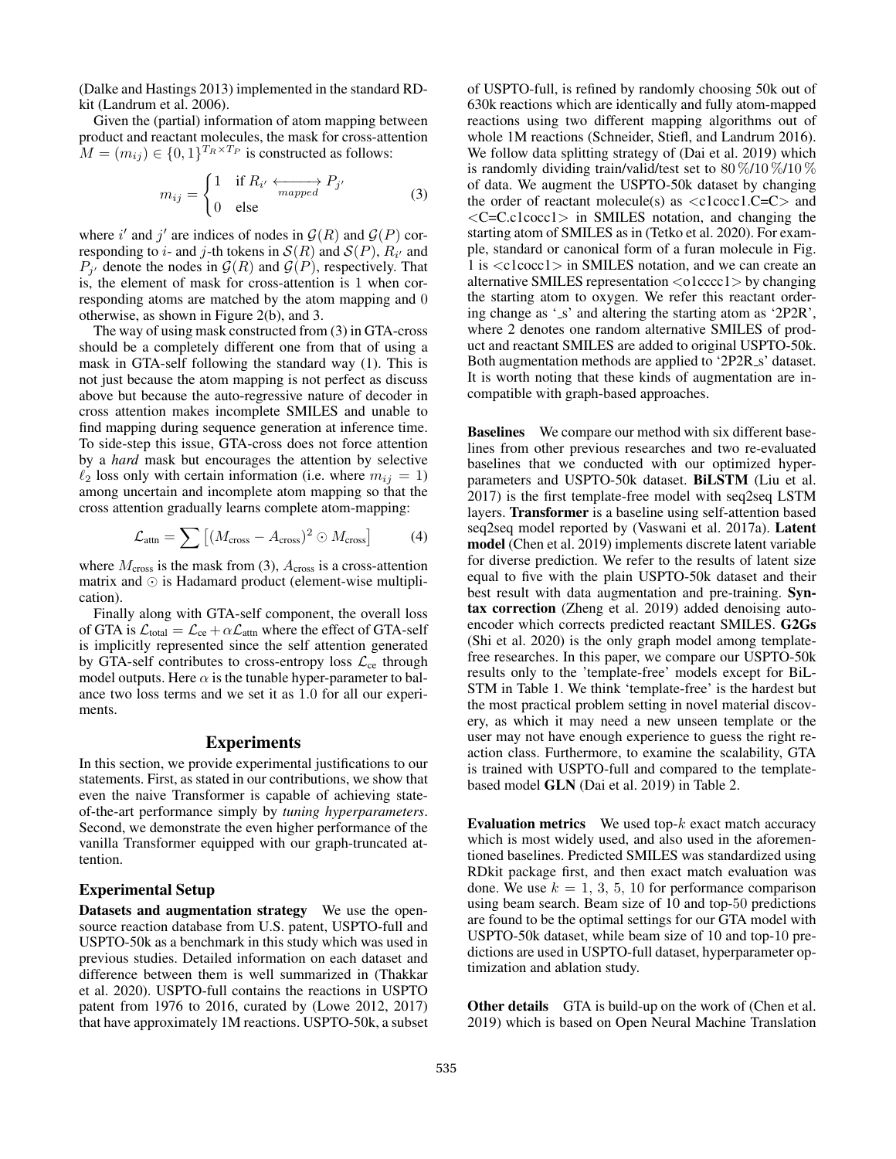(Dalke and Hastings 2013) implemented in the standard RDkit (Landrum et al. 2006).

Given the (partial) information of atom mapping between product and reactant molecules, the mask for cross-attention  $M = (m_{ij}) \in \{0, 1\}^{T_R \times T_P}$  is constructed as follows:

$$
m_{ij} = \begin{cases} 1 & \text{if } R_{i'} \xleftarrow[maped] P_{j'}\\ 0 & \text{else} \end{cases}
$$
 (3)

where i' and j' are indices of nodes in  $\mathcal{G}(R)$  and  $\mathcal{G}(P)$  corresponding to *i*- and *j*-th tokens in  $\mathcal{S}(R)$  and  $\mathcal{S}(P)$ ,  $R_{i'}$  and  $P_{j'}$  denote the nodes in  $\mathcal{G}(R)$  and  $\mathcal{G}(P)$ , respectively. That is, the element of mask for cross-attention is 1 when corresponding atoms are matched by the atom mapping and 0 otherwise, as shown in Figure 2(b), and 3.

The way of using mask constructed from (3) in GTA-cross should be a completely different one from that of using a mask in GTA-self following the standard way (1). This is not just because the atom mapping is not perfect as discuss above but because the auto-regressive nature of decoder in cross attention makes incomplete SMILES and unable to find mapping during sequence generation at inference time. To side-step this issue, GTA-cross does not force attention by a *hard* mask but encourages the attention by selective  $\ell_2$  loss only with certain information (i.e. where  $m_{ij} = 1$ ) among uncertain and incomplete atom mapping so that the cross attention gradually learns complete atom-mapping:

$$
\mathcal{L}_{\text{attn}} = \sum \left[ (M_{\text{cross}} - A_{\text{cross}})^2 \odot M_{\text{cross}} \right] \tag{4}
$$

where  $M_{\text{cross}}$  is the mask from (3),  $A_{\text{cross}}$  is a cross-attention matrix and  $\odot$  is Hadamard product (element-wise multiplication).

Finally along with GTA-self component, the overall loss of GTA is  $\mathcal{L}_{total} = \mathcal{L}_{ce} + \alpha \mathcal{L}_{attn}$  where the effect of GTA-self is implicitly represented since the self attention generated by GTA-self contributes to cross-entropy loss  $\mathcal{L}_{ce}$  through model outputs. Here  $\alpha$  is the tunable hyper-parameter to balance two loss terms and we set it as 1.0 for all our experiments.

#### **Experiments**

In this section, we provide experimental justifications to our statements. First, as stated in our contributions, we show that even the naive Transformer is capable of achieving stateof-the-art performance simply by *tuning hyperparameters*. Second, we demonstrate the even higher performance of the vanilla Transformer equipped with our graph-truncated attention.

#### Experimental Setup

Datasets and augmentation strategy We use the opensource reaction database from U.S. patent, USPTO-full and USPTO-50k as a benchmark in this study which was used in previous studies. Detailed information on each dataset and difference between them is well summarized in (Thakkar et al. 2020). USPTO-full contains the reactions in USPTO patent from 1976 to 2016, curated by (Lowe 2012, 2017) that have approximately 1M reactions. USPTO-50k, a subset of USPTO-full, is refined by randomly choosing 50k out of 630k reactions which are identically and fully atom-mapped reactions using two different mapping algorithms out of whole 1M reactions (Schneider, Stiefl, and Landrum 2016). We follow data splitting strategy of (Dai et al. 2019) which is randomly dividing train/valid/test set to  $80\,\%/10\,\%/10\,\%$ of data. We augment the USPTO-50k dataset by changing the order of reactant molecule(s) as  $\langle$  c1cocc1.C=C $>$  and <C=C.c1cocc1> in SMILES notation, and changing the starting atom of SMILES as in (Tetko et al. 2020). For example, standard or canonical form of a furan molecule in Fig. 1 is <c1cocc1> in SMILES notation, and we can create an alternative SMILES representation  $\langle$ o1cccc1 $\rangle$  by changing the starting atom to oxygen. We refer this reactant ordering change as '\_s' and altering the starting atom as '2P2R', where 2 denotes one random alternative SMILES of product and reactant SMILES are added to original USPTO-50k. Both augmentation methods are applied to '2P2R<sub>-S</sub>' dataset. It is worth noting that these kinds of augmentation are incompatible with graph-based approaches.

Baselines We compare our method with six different baselines from other previous researches and two re-evaluated baselines that we conducted with our optimized hyperparameters and USPTO-50k dataset. BiLSTM (Liu et al. 2017) is the first template-free model with seq2seq LSTM layers. Transformer is a baseline using self-attention based seq2seq model reported by (Vaswani et al. 2017a). Latent model (Chen et al. 2019) implements discrete latent variable for diverse prediction. We refer to the results of latent size equal to five with the plain USPTO-50k dataset and their best result with data augmentation and pre-training. Syntax correction (Zheng et al. 2019) added denoising autoencoder which corrects predicted reactant SMILES. G2Gs (Shi et al. 2020) is the only graph model among templatefree researches. In this paper, we compare our USPTO-50k results only to the 'template-free' models except for BiL-STM in Table 1. We think 'template-free' is the hardest but the most practical problem setting in novel material discovery, as which it may need a new unseen template or the user may not have enough experience to guess the right reaction class. Furthermore, to examine the scalability, GTA is trained with USPTO-full and compared to the templatebased model GLN (Dai et al. 2019) in Table 2.

**Evaluation metrics** We used top- $k$  exact match accuracy which is most widely used, and also used in the aforementioned baselines. Predicted SMILES was standardized using RDkit package first, and then exact match evaluation was done. We use  $k = 1, 3, 5, 10$  for performance comparison using beam search. Beam size of 10 and top-50 predictions are found to be the optimal settings for our GTA model with USPTO-50k dataset, while beam size of 10 and top-10 predictions are used in USPTO-full dataset, hyperparameter optimization and ablation study.

Other details GTA is build-up on the work of (Chen et al. 2019) which is based on Open Neural Machine Translation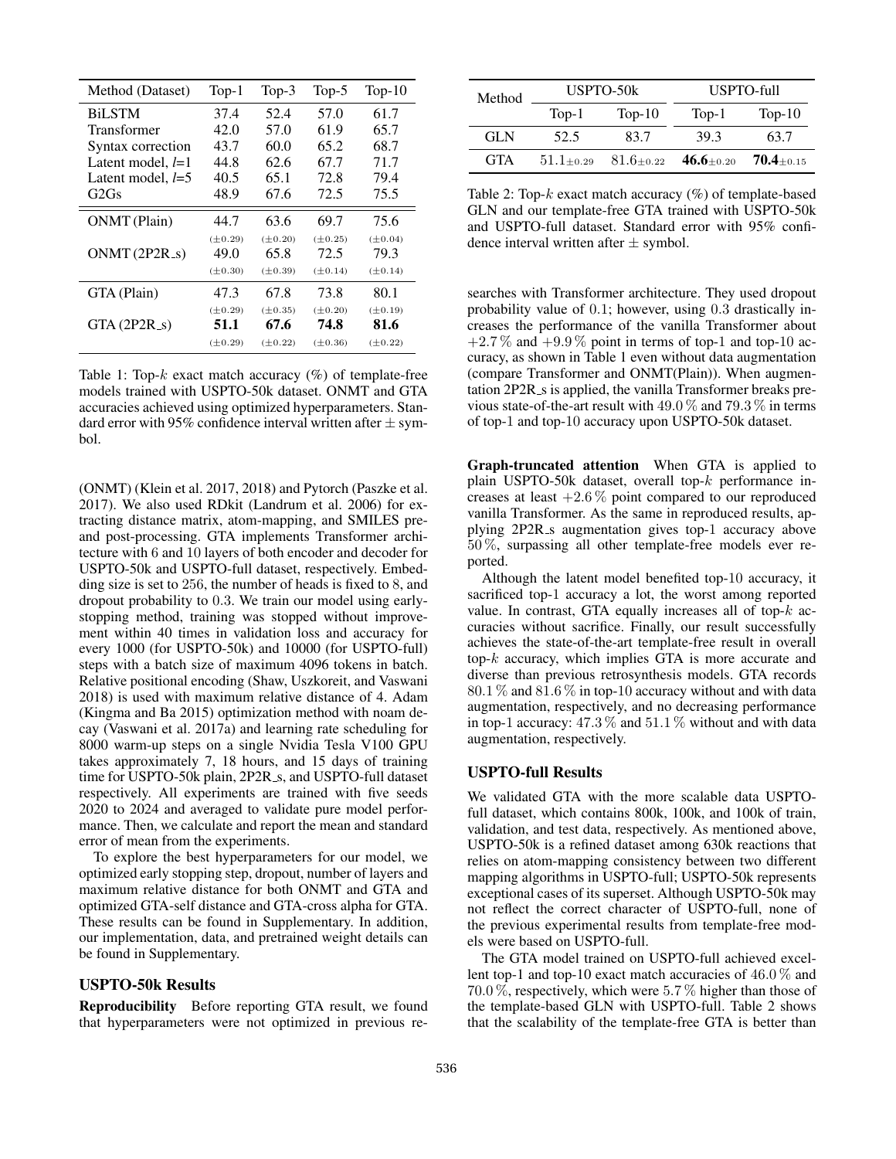| Method (Dataset)    | $Top-1$              | $Top-3$              | $Top-5$              | $Top-10$             |  |
|---------------------|----------------------|----------------------|----------------------|----------------------|--|
| <b>BiLSTM</b>       | 37.4                 | 52.4                 | 57.0                 | 61.7                 |  |
| Transformer         | 42.0                 | 57.0                 | 61.9                 | 65.7                 |  |
| Syntax correction   | 43.7                 | 60.0                 | 65.2                 | 68.7                 |  |
| Latent model, $l=1$ | 44.8                 | 62.6                 | 67.7                 | 71.7                 |  |
| Latent model, $l=5$ | 40.5                 | 65.1                 | 72.8                 | 79.4                 |  |
| G2Gs                | 48.9                 | 67.6                 | 72.5                 | 75.5                 |  |
| ONMT (Plain)        | 44.7                 | 63.6                 | 69.7                 | 75.6                 |  |
| $ONMT(2P2R_s)$      | $(\pm 0.29)$<br>49.0 | $(\pm 0.20)$<br>65.8 | $(\pm 0.25)$<br>72.5 | $(\pm 0.04)$<br>79.3 |  |
|                     | $(\pm 0.30)$         | $(\pm 0.39)$         | $(\pm 0.14)$         | $(\pm 0.14)$         |  |
| GTA (Plain)         | 47.3                 | 67.8                 | 73.8                 | 80.1                 |  |
|                     | $(\pm 0.29)$         | $(\pm 0.35)$         | $(\pm 0.20)$         | $(\pm 0.19)$         |  |
| $GTA(2P2R_s)$       | 51.1                 | 67.6                 | 74.8                 | 81.6                 |  |
|                     | $(\pm 0.29)$         | $(\pm 0.22)$         | $(\pm 0.36)$         | $(\pm 0.22)$         |  |

Table 1: Top- $k$  exact match accuracy  $(\%)$  of template-free models trained with USPTO-50k dataset. ONMT and GTA accuracies achieved using optimized hyperparameters. Standard error with 95% confidence interval written after  $\pm$  symbol.

(ONMT) (Klein et al. 2017, 2018) and Pytorch (Paszke et al. 2017). We also used RDkit (Landrum et al. 2006) for extracting distance matrix, atom-mapping, and SMILES preand post-processing. GTA implements Transformer architecture with 6 and 10 layers of both encoder and decoder for USPTO-50k and USPTO-full dataset, respectively. Embedding size is set to 256, the number of heads is fixed to 8, and dropout probability to 0.3. We train our model using earlystopping method, training was stopped without improvement within 40 times in validation loss and accuracy for every 1000 (for USPTO-50k) and 10000 (for USPTO-full) steps with a batch size of maximum 4096 tokens in batch. Relative positional encoding (Shaw, Uszkoreit, and Vaswani 2018) is used with maximum relative distance of 4. Adam (Kingma and Ba 2015) optimization method with noam decay (Vaswani et al. 2017a) and learning rate scheduling for 8000 warm-up steps on a single Nvidia Tesla V100 GPU takes approximately 7, 18 hours, and 15 days of training time for USPTO-50k plain, 2P2R<sub>-8</sub>, and USPTO-full dataset respectively. All experiments are trained with five seeds 2020 to 2024 and averaged to validate pure model performance. Then, we calculate and report the mean and standard error of mean from the experiments.

To explore the best hyperparameters for our model, we optimized early stopping step, dropout, number of layers and maximum relative distance for both ONMT and GTA and optimized GTA-self distance and GTA-cross alpha for GTA. These results can be found in Supplementary. In addition, our implementation, data, and pretrained weight details can be found in Supplementary.

## USPTO-50k Results

Reproducibility Before reporting GTA result, we found that hyperparameters were not optimized in previous re-

| Method     |               | USPTO-50k     | USPTO-full      |               |  |
|------------|---------------|---------------|-----------------|---------------|--|
|            | $Top-1$       | $Top-10$      | $Top-1$         | $Top-10$      |  |
| GL N       | 52.5          | 83.7          | 39.3            | 63.7          |  |
| <b>GTA</b> | $51.1 + 0.29$ | $81.6 + 0.22$ | 46.6 $\pm$ 0.20 | $70.4 + 0.15$ |  |

Table 2: Top- $k$  exact match accuracy  $(\%)$  of template-based GLN and our template-free GTA trained with USPTO-50k and USPTO-full dataset. Standard error with 95% confidence interval written after  $\pm$  symbol.

searches with Transformer architecture. They used dropout probability value of 0.1; however, using 0.3 drastically increases the performance of the vanilla Transformer about  $+2.7\%$  and  $+9.9\%$  point in terms of top-1 and top-10 accuracy, as shown in Table 1 even without data augmentation (compare Transformer and ONMT(Plain)). When augmentation 2P2R<sub>-S</sub> is applied, the vanilla Transformer breaks previous state-of-the-art result with 49.0 % and 79.3 % in terms of top-1 and top-10 accuracy upon USPTO-50k dataset.

Graph-truncated attention When GTA is applied to plain USPTO-50k dataset, overall top-k performance increases at least  $+2.6\%$  point compared to our reproduced vanilla Transformer. As the same in reproduced results, applying 2P2R s augmentation gives top-1 accuracy above 50 %, surpassing all other template-free models ever reported.

Although the latent model benefited top-10 accuracy, it sacrificed top-1 accuracy a lot, the worst among reported value. In contrast, GTA equally increases all of top- $k$  accuracies without sacrifice. Finally, our result successfully achieves the state-of-the-art template-free result in overall top-k accuracy, which implies GTA is more accurate and diverse than previous retrosynthesis models. GTA records  $80.1\%$  and  $81.6\%$  in top-10 accuracy without and with data augmentation, respectively, and no decreasing performance in top-1 accuracy:  $47.3\%$  and  $51.1\%$  without and with data augmentation, respectively.

### USPTO-full Results

We validated GTA with the more scalable data USPTOfull dataset, which contains 800k, 100k, and 100k of train, validation, and test data, respectively. As mentioned above, USPTO-50k is a refined dataset among 630k reactions that relies on atom-mapping consistency between two different mapping algorithms in USPTO-full; USPTO-50k represents exceptional cases of its superset. Although USPTO-50k may not reflect the correct character of USPTO-full, none of the previous experimental results from template-free models were based on USPTO-full.

The GTA model trained on USPTO-full achieved excellent top-1 and top-10 exact match accuracies of 46.0 % and 70.0 %, respectively, which were 5.7 % higher than those of the template-based GLN with USPTO-full. Table 2 shows that the scalability of the template-free GTA is better than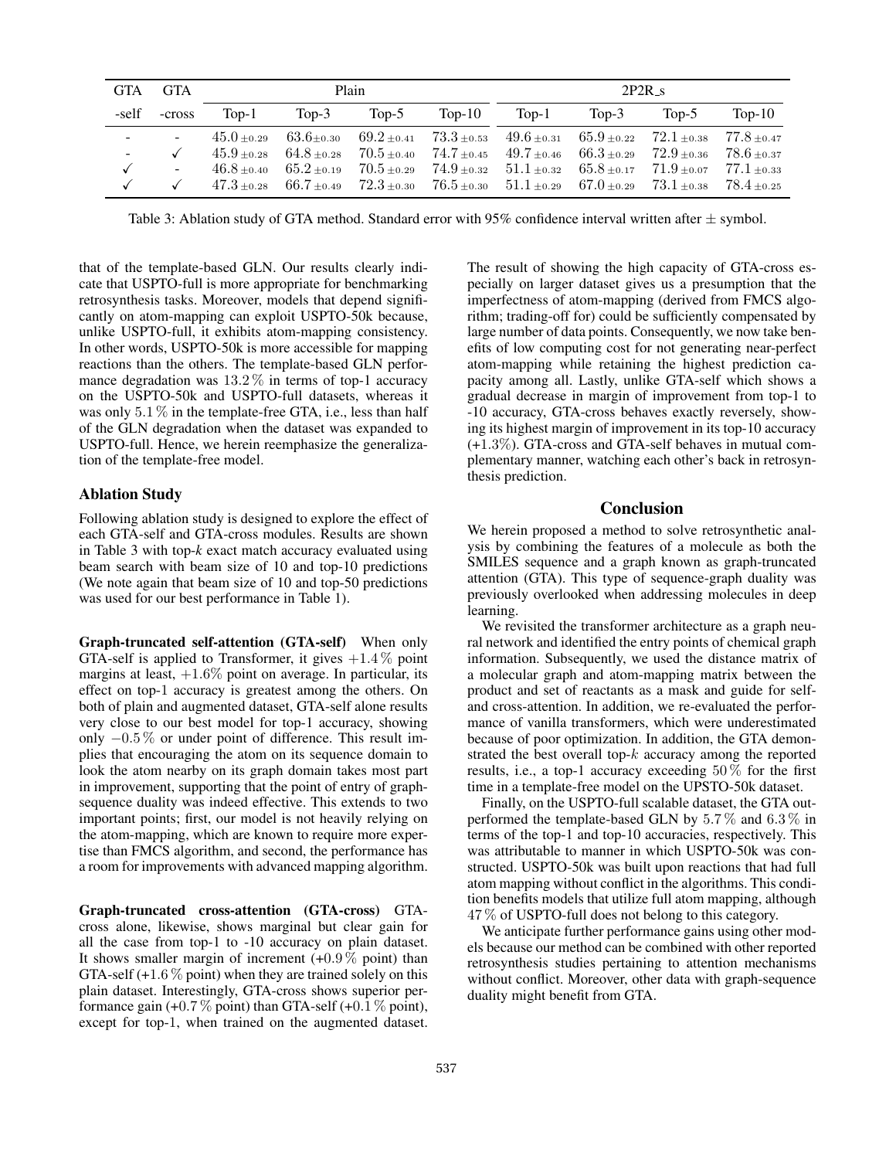| <b>GTA</b> | <b>GTA</b>               | Plain         |                                 |       | $2P2R_s$ |                                                                                                                             |          |                                |                                |
|------------|--------------------------|---------------|---------------------------------|-------|----------|-----------------------------------------------------------------------------------------------------------------------------|----------|--------------------------------|--------------------------------|
| -self      | -cross                   | Top-1         | Top- $3$                        | Top-5 | $Top-10$ | $Top-1$                                                                                                                     | Top- $3$ | Top- $5$                       | $Top-10$                       |
| $\sim$     |                          | $45.0 + 0.29$ | $63.6{\scriptstyle \pm0.30}$    |       |          | $69.2{\scriptstyle~ \pm 0.41}$ $73.3{\scriptstyle~ \pm 0.53}$ $49.6{\scriptstyle~ \pm 0.31}$ $65.9{\scriptstyle~ \pm 0.22}$ |          | $72.1{\scriptstyle~ \pm 0.38}$ | $77.8{\scriptstyle~ \pm 0.47}$ |
| $\sim$     |                          | $45.9 + 0.28$ | $64.8{\scriptstyle~ \pm 0.28}$  |       |          | $70.5_{\pm 0.40}$ $74.7_{\pm 0.45}$ $49.7_{\pm 0.46}$ $66.3_{\pm 0.29}$                                                     |          | $72.9 + 0.36$                  | $78.6{\scriptstyle~ \pm 0.37}$ |
|            | $\overline{\phantom{a}}$ | $46.8 + 0.40$ | $65.2{\scriptstyle~ \pm 0.19}$  |       |          | $70.5_{\pm 0.29}$ $74.9_{\pm 0.32}$ $51.1_{\pm 0.32}$ $65.8_{\pm 0.17}$                                                     |          | $71.9 + 0.07$                  | $77.1{\scriptstyle~ \pm 0.33}$ |
|            |                          |               | $47.3 \pm 0.28$ 66.7 $\pm 0.49$ |       |          | $72.3{\scriptstyle~ \pm 0.30}$ $76.5{\scriptstyle~ \pm 0.30}$ $51.1{\scriptstyle~ \pm 0.29}$ $67.0{\scriptstyle~ \pm 0.29}$ |          | $73.1{\scriptstyle~ \pm 0.38}$ | $78.4{\scriptstyle~ \pm 0.25}$ |

Table 3: Ablation study of GTA method. Standard error with 95% confidence interval written after  $\pm$  symbol.

that of the template-based GLN. Our results clearly indicate that USPTO-full is more appropriate for benchmarking retrosynthesis tasks. Moreover, models that depend significantly on atom-mapping can exploit USPTO-50k because, unlike USPTO-full, it exhibits atom-mapping consistency. In other words, USPTO-50k is more accessible for mapping reactions than the others. The template-based GLN performance degradation was  $13.2\%$  in terms of top-1 accuracy on the USPTO-50k and USPTO-full datasets, whereas it was only  $5.1\%$  in the template-free GTA, i.e., less than half of the GLN degradation when the dataset was expanded to USPTO-full. Hence, we herein reemphasize the generalization of the template-free model.

#### Ablation Study

Following ablation study is designed to explore the effect of each GTA-self and GTA-cross modules. Results are shown in Table 3 with top-*k* exact match accuracy evaluated using beam search with beam size of 10 and top-10 predictions (We note again that beam size of 10 and top-50 predictions was used for our best performance in Table 1).

Graph-truncated self-attention (GTA-self) When only GTA-self is applied to Transformer, it gives  $+1.4\%$  point margins at least, +1.6% point on average. In particular, its effect on top-1 accuracy is greatest among the others. On both of plain and augmented dataset, GTA-self alone results very close to our best model for top-1 accuracy, showing only −0.5 % or under point of difference. This result implies that encouraging the atom on its sequence domain to look the atom nearby on its graph domain takes most part in improvement, supporting that the point of entry of graphsequence duality was indeed effective. This extends to two important points; first, our model is not heavily relying on the atom-mapping, which are known to require more expertise than FMCS algorithm, and second, the performance has a room for improvements with advanced mapping algorithm.

Graph-truncated cross-attention (GTA-cross) GTAcross alone, likewise, shows marginal but clear gain for all the case from top-1 to -10 accuracy on plain dataset. It shows smaller margin of increment  $(+0.9\%$  point) than GTA-self  $(+1.6\%$  point) when they are trained solely on this plain dataset. Interestingly, GTA-cross shows superior performance gain  $(+0.7\%$  point) than GTA-self  $(+0.1\%$  point), except for top-1, when trained on the augmented dataset.

The result of showing the high capacity of GTA-cross especially on larger dataset gives us a presumption that the imperfectness of atom-mapping (derived from FMCS algorithm; trading-off for) could be sufficiently compensated by large number of data points. Consequently, we now take benefits of low computing cost for not generating near-perfect atom-mapping while retaining the highest prediction capacity among all. Lastly, unlike GTA-self which shows a gradual decrease in margin of improvement from top-1 to -10 accuracy, GTA-cross behaves exactly reversely, showing its highest margin of improvement in its top-10 accuracy (+1.3%). GTA-cross and GTA-self behaves in mutual complementary manner, watching each other's back in retrosynthesis prediction.

#### Conclusion

We herein proposed a method to solve retrosynthetic analysis by combining the features of a molecule as both the SMILES sequence and a graph known as graph-truncated attention (GTA). This type of sequence-graph duality was previously overlooked when addressing molecules in deep learning.

We revisited the transformer architecture as a graph neural network and identified the entry points of chemical graph information. Subsequently, we used the distance matrix of a molecular graph and atom-mapping matrix between the product and set of reactants as a mask and guide for selfand cross-attention. In addition, we re-evaluated the performance of vanilla transformers, which were underestimated because of poor optimization. In addition, the GTA demonstrated the best overall top- $k$  accuracy among the reported results, i.e., a top-1 accuracy exceeding 50 % for the first time in a template-free model on the UPSTO-50k dataset.

Finally, on the USPTO-full scalable dataset, the GTA outperformed the template-based GLN by 5.7% and 6.3% in terms of the top-1 and top-10 accuracies, respectively. This was attributable to manner in which USPTO-50k was constructed. USPTO-50k was built upon reactions that had full atom mapping without conflict in the algorithms. This condition benefits models that utilize full atom mapping, although 47 % of USPTO-full does not belong to this category.

We anticipate further performance gains using other models because our method can be combined with other reported retrosynthesis studies pertaining to attention mechanisms without conflict. Moreover, other data with graph-sequence duality might benefit from GTA.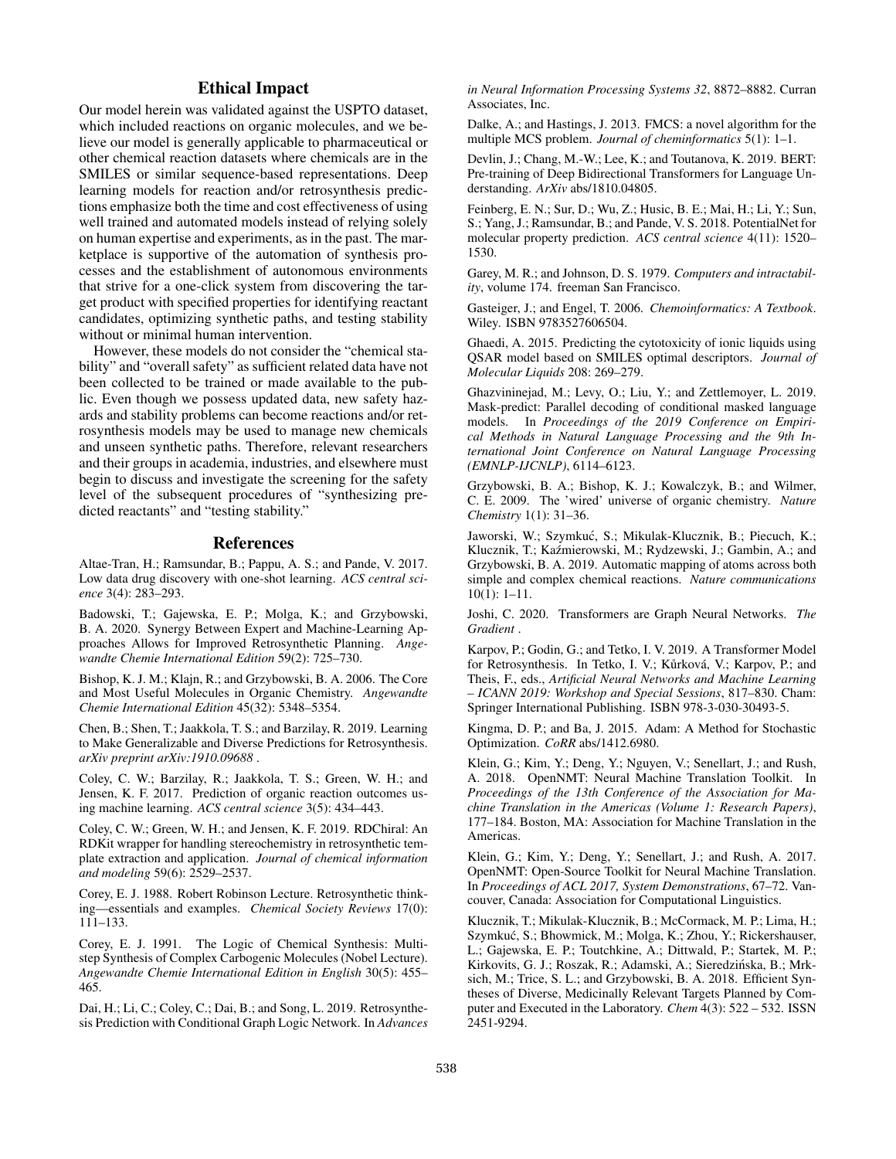## Ethical Impact

Our model herein was validated against the USPTO dataset, which included reactions on organic molecules, and we believe our model is generally applicable to pharmaceutical or other chemical reaction datasets where chemicals are in the SMILES or similar sequence-based representations. Deep learning models for reaction and/or retrosynthesis predictions emphasize both the time and cost effectiveness of using well trained and automated models instead of relying solely on human expertise and experiments, as in the past. The marketplace is supportive of the automation of synthesis processes and the establishment of autonomous environments that strive for a one-click system from discovering the target product with specified properties for identifying reactant candidates, optimizing synthetic paths, and testing stability without or minimal human intervention.

However, these models do not consider the "chemical stability" and "overall safety" as sufficient related data have not been collected to be trained or made available to the public. Even though we possess updated data, new safety hazards and stability problems can become reactions and/or retrosynthesis models may be used to manage new chemicals and unseen synthetic paths. Therefore, relevant researchers and their groups in academia, industries, and elsewhere must begin to discuss and investigate the screening for the safety level of the subsequent procedures of "synthesizing predicted reactants" and "testing stability."

#### References

Altae-Tran, H.; Ramsundar, B.; Pappu, A. S.; and Pande, V. 2017. Low data drug discovery with one-shot learning. *ACS central science* 3(4): 283–293.

Badowski, T.; Gajewska, E. P.; Molga, K.; and Grzybowski, B. A. 2020. Synergy Between Expert and Machine-Learning Approaches Allows for Improved Retrosynthetic Planning. *Angewandte Chemie International Edition* 59(2): 725–730.

Bishop, K. J. M.; Klajn, R.; and Grzybowski, B. A. 2006. The Core and Most Useful Molecules in Organic Chemistry. *Angewandte Chemie International Edition* 45(32): 5348–5354.

Chen, B.; Shen, T.; Jaakkola, T. S.; and Barzilay, R. 2019. Learning to Make Generalizable and Diverse Predictions for Retrosynthesis. *arXiv preprint arXiv:1910.09688* .

Coley, C. W.; Barzilay, R.; Jaakkola, T. S.; Green, W. H.; and Jensen, K. F. 2017. Prediction of organic reaction outcomes using machine learning. *ACS central science* 3(5): 434–443.

Coley, C. W.; Green, W. H.; and Jensen, K. F. 2019. RDChiral: An RDKit wrapper for handling stereochemistry in retrosynthetic template extraction and application. *Journal of chemical information and modeling* 59(6): 2529–2537.

Corey, E. J. 1988. Robert Robinson Lecture. Retrosynthetic thinking—essentials and examples. *Chemical Society Reviews* 17(0): 111–133.

Corey, E. J. 1991. The Logic of Chemical Synthesis: Multistep Synthesis of Complex Carbogenic Molecules (Nobel Lecture). *Angewandte Chemie International Edition in English* 30(5): 455– 465.

Dai, H.; Li, C.; Coley, C.; Dai, B.; and Song, L. 2019. Retrosynthesis Prediction with Conditional Graph Logic Network. In *Advances* *in Neural Information Processing Systems 32*, 8872–8882. Curran Associates, Inc.

Dalke, A.; and Hastings, J. 2013. FMCS: a novel algorithm for the multiple MCS problem. *Journal of cheminformatics* 5(1): 1–1.

Devlin, J.; Chang, M.-W.; Lee, K.; and Toutanova, K. 2019. BERT: Pre-training of Deep Bidirectional Transformers for Language Understanding. *ArXiv* abs/1810.04805.

Feinberg, E. N.; Sur, D.; Wu, Z.; Husic, B. E.; Mai, H.; Li, Y.; Sun, S.; Yang, J.; Ramsundar, B.; and Pande, V. S. 2018. PotentialNet for molecular property prediction. *ACS central science* 4(11): 1520– 1530.

Garey, M. R.; and Johnson, D. S. 1979. *Computers and intractability*, volume 174. freeman San Francisco.

Gasteiger, J.; and Engel, T. 2006. *Chemoinformatics: A Textbook*. Wiley. ISBN 9783527606504.

Ghaedi, A. 2015. Predicting the cytotoxicity of ionic liquids using QSAR model based on SMILES optimal descriptors. *Journal of Molecular Liquids* 208: 269–279.

Ghazvininejad, M.; Levy, O.; Liu, Y.; and Zettlemoyer, L. 2019. Mask-predict: Parallel decoding of conditional masked language models. In *Proceedings of the 2019 Conference on Empirical Methods in Natural Language Processing and the 9th International Joint Conference on Natural Language Processing (EMNLP-IJCNLP)*, 6114–6123.

Grzybowski, B. A.; Bishop, K. J.; Kowalczyk, B.; and Wilmer, C. E. 2009. The 'wired' universe of organic chemistry. *Nature Chemistry* 1(1): 31–36.

Jaworski, W.; Szymkuć, S.; Mikulak-Klucznik, B.; Piecuch, K.; Klucznik, T.; Kaźmierowski, M.; Rydzewski, J.; Gambin, A.; and Grzybowski, B. A. 2019. Automatic mapping of atoms across both simple and complex chemical reactions. *Nature communications* 10(1): 1–11.

Joshi, C. 2020. Transformers are Graph Neural Networks. *The Gradient* .

Karpov, P.; Godin, G.; and Tetko, I. V. 2019. A Transformer Model for Retrosynthesis. In Tetko, I. V.; Kůrková, V.; Karpov, P.; and Theis, F., eds., *Artificial Neural Networks and Machine Learning – ICANN 2019: Workshop and Special Sessions*, 817–830. Cham: Springer International Publishing. ISBN 978-3-030-30493-5.

Kingma, D. P.; and Ba, J. 2015. Adam: A Method for Stochastic Optimization. *CoRR* abs/1412.6980.

Klein, G.; Kim, Y.; Deng, Y.; Nguyen, V.; Senellart, J.; and Rush, A. 2018. OpenNMT: Neural Machine Translation Toolkit. In *Proceedings of the 13th Conference of the Association for Machine Translation in the Americas (Volume 1: Research Papers)*, 177–184. Boston, MA: Association for Machine Translation in the Americas.

Klein, G.; Kim, Y.; Deng, Y.; Senellart, J.; and Rush, A. 2017. OpenNMT: Open-Source Toolkit for Neural Machine Translation. In *Proceedings of ACL 2017, System Demonstrations*, 67–72. Vancouver, Canada: Association for Computational Linguistics.

Klucznik, T.; Mikulak-Klucznik, B.; McCormack, M. P.; Lima, H.; Szymkuć, S.; Bhowmick, M.; Molga, K.; Zhou, Y.; Rickershauser, L.; Gajewska, E. P.; Toutchkine, A.; Dittwald, P.; Startek, M. P.; Kirkovits, G. J.; Roszak, R.; Adamski, A.; Sieredzińska, B.; Mrksich, M.; Trice, S. L.; and Grzybowski, B. A. 2018. Efficient Syntheses of Diverse, Medicinally Relevant Targets Planned by Computer and Executed in the Laboratory. *Chem* 4(3): 522 – 532. ISSN 2451-9294.